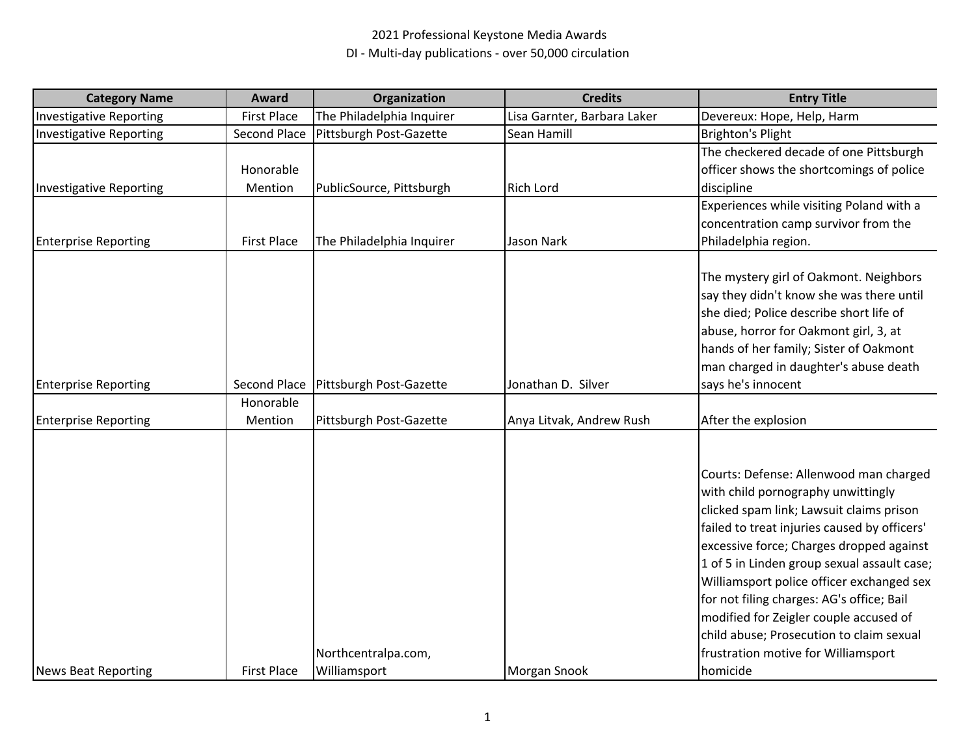| <b>Category Name</b>           | Award              | Organization                           | <b>Credits</b>              | <b>Entry Title</b>                                                                                                                                                                                                                                                                                                                                                                                                                                                                                     |
|--------------------------------|--------------------|----------------------------------------|-----------------------------|--------------------------------------------------------------------------------------------------------------------------------------------------------------------------------------------------------------------------------------------------------------------------------------------------------------------------------------------------------------------------------------------------------------------------------------------------------------------------------------------------------|
| <b>Investigative Reporting</b> | <b>First Place</b> | The Philadelphia Inquirer              | Lisa Garnter, Barbara Laker | Devereux: Hope, Help, Harm                                                                                                                                                                                                                                                                                                                                                                                                                                                                             |
| <b>Investigative Reporting</b> | Second Place       | Pittsburgh Post-Gazette                | Sean Hamill                 | Brighton's Plight                                                                                                                                                                                                                                                                                                                                                                                                                                                                                      |
|                                |                    |                                        |                             | The checkered decade of one Pittsburgh                                                                                                                                                                                                                                                                                                                                                                                                                                                                 |
|                                | Honorable          |                                        |                             | officer shows the shortcomings of police                                                                                                                                                                                                                                                                                                                                                                                                                                                               |
| <b>Investigative Reporting</b> | Mention            | PublicSource, Pittsburgh               | <b>Rich Lord</b>            | discipline                                                                                                                                                                                                                                                                                                                                                                                                                                                                                             |
|                                |                    |                                        |                             | Experiences while visiting Poland with a                                                                                                                                                                                                                                                                                                                                                                                                                                                               |
|                                |                    |                                        |                             | concentration camp survivor from the                                                                                                                                                                                                                                                                                                                                                                                                                                                                   |
| <b>Enterprise Reporting</b>    | <b>First Place</b> | The Philadelphia Inquirer              | Jason Nark                  | Philadelphia region.                                                                                                                                                                                                                                                                                                                                                                                                                                                                                   |
| <b>Enterprise Reporting</b>    |                    | Second Place   Pittsburgh Post-Gazette | Jonathan D. Silver          | The mystery girl of Oakmont. Neighbors<br>say they didn't know she was there until<br>she died; Police describe short life of<br>abuse, horror for Oakmont girl, 3, at<br>hands of her family; Sister of Oakmont<br>man charged in daughter's abuse death<br>says he's innocent                                                                                                                                                                                                                        |
|                                | Honorable          |                                        |                             |                                                                                                                                                                                                                                                                                                                                                                                                                                                                                                        |
| <b>Enterprise Reporting</b>    | Mention            | Pittsburgh Post-Gazette                | Anya Litvak, Andrew Rush    | After the explosion                                                                                                                                                                                                                                                                                                                                                                                                                                                                                    |
| <b>News Beat Reporting</b>     | <b>First Place</b> | Northcentralpa.com,<br>Williamsport    | Morgan Snook                | Courts: Defense: Allenwood man charged<br>with child pornography unwittingly<br>clicked spam link; Lawsuit claims prison<br>failed to treat injuries caused by officers'<br>excessive force; Charges dropped against<br>1 of 5 in Linden group sexual assault case;<br>Williamsport police officer exchanged sex<br>for not filing charges: AG's office; Bail<br>modified for Zeigler couple accused of<br>child abuse; Prosecution to claim sexual<br>frustration motive for Williamsport<br>homicide |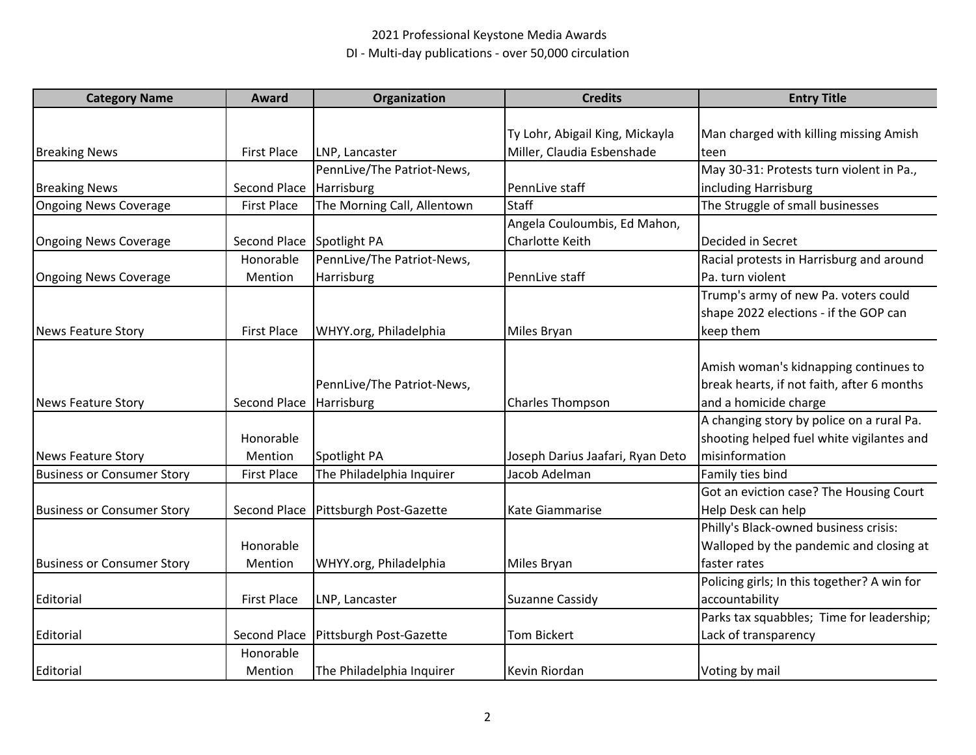| <b>Category Name</b>              | Award                     | Organization                           | <b>Credits</b>                   | <b>Entry Title</b>                          |
|-----------------------------------|---------------------------|----------------------------------------|----------------------------------|---------------------------------------------|
|                                   |                           |                                        |                                  |                                             |
|                                   |                           |                                        | Ty Lohr, Abigail King, Mickayla  | Man charged with killing missing Amish      |
| <b>Breaking News</b>              | <b>First Place</b>        | LNP, Lancaster                         | Miller, Claudia Esbenshade       | teen                                        |
|                                   |                           | PennLive/The Patriot-News,             |                                  | May 30-31: Protests turn violent in Pa.,    |
| <b>Breaking News</b>              | Second Place Harrisburg   |                                        | PennLive staff                   | including Harrisburg                        |
| <b>Ongoing News Coverage</b>      | <b>First Place</b>        | The Morning Call, Allentown            | <b>Staff</b>                     | The Struggle of small businesses            |
|                                   |                           |                                        | Angela Couloumbis, Ed Mahon,     |                                             |
| <b>Ongoing News Coverage</b>      | Second Place Spotlight PA |                                        | Charlotte Keith                  | Decided in Secret                           |
|                                   | Honorable                 | PennLive/The Patriot-News,             |                                  | Racial protests in Harrisburg and around    |
| <b>Ongoing News Coverage</b>      | Mention                   | Harrisburg                             | PennLive staff                   | Pa. turn violent                            |
|                                   |                           |                                        |                                  | Trump's army of new Pa. voters could        |
|                                   |                           |                                        |                                  | shape 2022 elections - if the GOP can       |
| News Feature Story                | <b>First Place</b>        | WHYY.org, Philadelphia                 | Miles Bryan                      | keep them                                   |
|                                   |                           |                                        |                                  |                                             |
|                                   |                           |                                        |                                  | Amish woman's kidnapping continues to       |
|                                   |                           | PennLive/The Patriot-News,             |                                  | break hearts, if not faith, after 6 months  |
| News Feature Story                | Second Place Harrisburg   |                                        | <b>Charles Thompson</b>          | and a homicide charge                       |
|                                   |                           |                                        |                                  | A changing story by police on a rural Pa.   |
|                                   | Honorable                 |                                        |                                  | shooting helped fuel white vigilantes and   |
| <b>News Feature Story</b>         | Mention                   | Spotlight PA                           | Joseph Darius Jaafari, Ryan Deto | misinformation                              |
| <b>Business or Consumer Story</b> | <b>First Place</b>        | The Philadelphia Inquirer              | Jacob Adelman                    | Family ties bind                            |
|                                   |                           |                                        |                                  | Got an eviction case? The Housing Court     |
| <b>Business or Consumer Story</b> |                           | Second Place   Pittsburgh Post-Gazette | Kate Giammarise                  | Help Desk can help                          |
|                                   |                           |                                        |                                  | Philly's Black-owned business crisis:       |
|                                   | Honorable                 |                                        |                                  | Walloped by the pandemic and closing at     |
| <b>Business or Consumer Story</b> | Mention                   | WHYY.org, Philadelphia                 | Miles Bryan                      | faster rates                                |
|                                   |                           |                                        |                                  | Policing girls; In this together? A win for |
| Editorial                         | <b>First Place</b>        | LNP, Lancaster                         | Suzanne Cassidy                  | accountability                              |
|                                   |                           |                                        |                                  | Parks tax squabbles; Time for leadership;   |
| Editorial                         |                           | Second Place   Pittsburgh Post-Gazette | <b>Tom Bickert</b>               | Lack of transparency                        |
|                                   | Honorable                 |                                        |                                  |                                             |
| Editorial                         | Mention                   | The Philadelphia Inquirer              | Kevin Riordan                    | Voting by mail                              |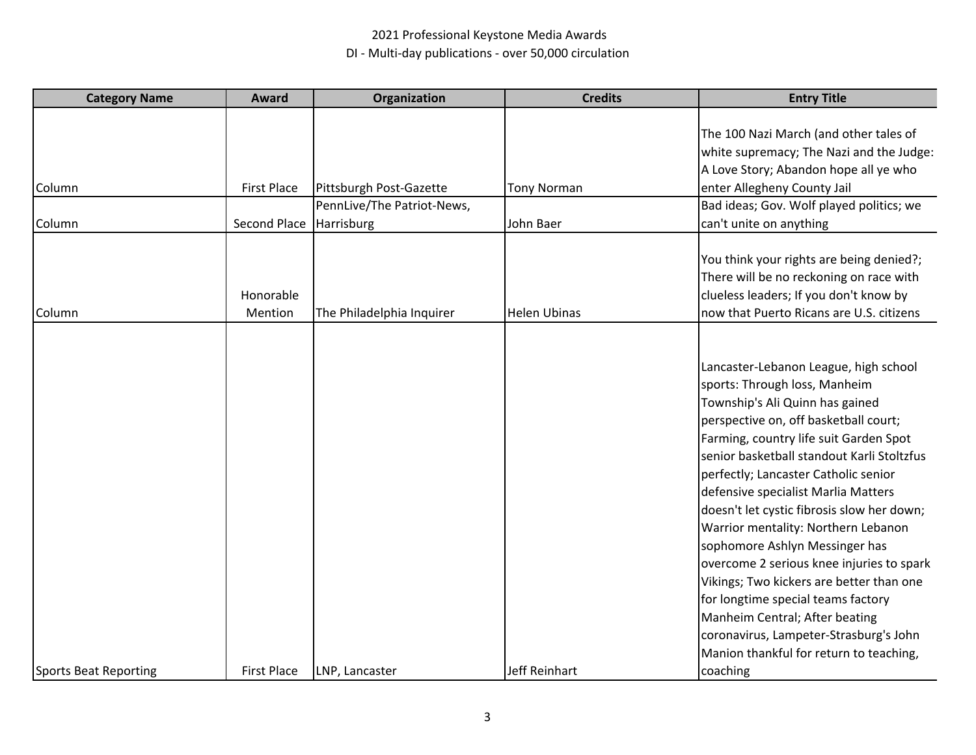| <b>Category Name</b>         | Award              | Organization               | <b>Credits</b>      | <b>Entry Title</b>                                                                   |
|------------------------------|--------------------|----------------------------|---------------------|--------------------------------------------------------------------------------------|
|                              |                    |                            |                     |                                                                                      |
|                              |                    |                            |                     | The 100 Nazi March (and other tales of                                               |
|                              |                    |                            |                     | white supremacy; The Nazi and the Judge:                                             |
|                              |                    |                            |                     | A Love Story; Abandon hope all ye who                                                |
| Column                       | <b>First Place</b> | Pittsburgh Post-Gazette    | <b>Tony Norman</b>  | enter Allegheny County Jail                                                          |
|                              |                    | PennLive/The Patriot-News, |                     | Bad ideas; Gov. Wolf played politics; we                                             |
| Column                       | Second Place       | Harrisburg                 | John Baer           | can't unite on anything                                                              |
|                              |                    |                            |                     |                                                                                      |
|                              |                    |                            |                     | You think your rights are being denied?;                                             |
|                              |                    |                            |                     | There will be no reckoning on race with                                              |
|                              | Honorable          |                            |                     | clueless leaders; If you don't know by                                               |
| Column                       | Mention            | The Philadelphia Inquirer  | <b>Helen Ubinas</b> | now that Puerto Ricans are U.S. citizens                                             |
|                              |                    |                            |                     |                                                                                      |
|                              |                    |                            |                     |                                                                                      |
|                              |                    |                            |                     | Lancaster-Lebanon League, high school                                                |
|                              |                    |                            |                     | sports: Through loss, Manheim                                                        |
|                              |                    |                            |                     | Township's Ali Quinn has gained                                                      |
|                              |                    |                            |                     | perspective on, off basketball court;                                                |
|                              |                    |                            |                     | Farming, country life suit Garden Spot<br>senior basketball standout Karli Stoltzfus |
|                              |                    |                            |                     |                                                                                      |
|                              |                    |                            |                     | perfectly; Lancaster Catholic senior                                                 |
|                              |                    |                            |                     | defensive specialist Marlia Matters                                                  |
|                              |                    |                            |                     | doesn't let cystic fibrosis slow her down;                                           |
|                              |                    |                            |                     | Warrior mentality: Northern Lebanon                                                  |
|                              |                    |                            |                     | sophomore Ashlyn Messinger has                                                       |
|                              |                    |                            |                     | overcome 2 serious knee injuries to spark                                            |
|                              |                    |                            |                     | Vikings; Two kickers are better than one                                             |
|                              |                    |                            |                     | for longtime special teams factory                                                   |
|                              |                    |                            |                     | Manheim Central; After beating                                                       |
|                              |                    |                            |                     | coronavirus, Lampeter-Strasburg's John                                               |
|                              |                    |                            |                     | Manion thankful for return to teaching,                                              |
| <b>Sports Beat Reporting</b> | <b>First Place</b> | LNP, Lancaster             | Jeff Reinhart       | coaching                                                                             |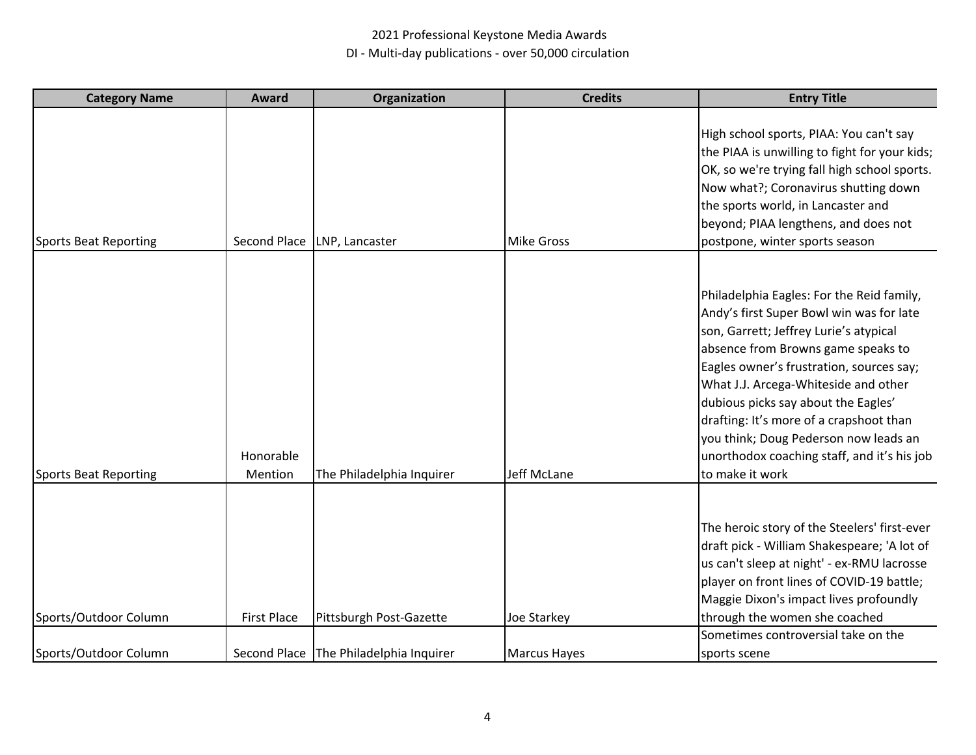| <b>Category Name</b>  | Award                | Organization                           | <b>Credits</b>      | <b>Entry Title</b>                                                                                                                                                                                                                                                                                                                                                                                                                                     |
|-----------------------|----------------------|----------------------------------------|---------------------|--------------------------------------------------------------------------------------------------------------------------------------------------------------------------------------------------------------------------------------------------------------------------------------------------------------------------------------------------------------------------------------------------------------------------------------------------------|
| Sports Beat Reporting | Second Place         | LNP, Lancaster                         | <b>Mike Gross</b>   | High school sports, PIAA: You can't say<br>the PIAA is unwilling to fight for your kids;<br>OK, so we're trying fall high school sports.<br>Now what?; Coronavirus shutting down<br>the sports world, in Lancaster and<br>beyond; PIAA lengthens, and does not<br>postpone, winter sports season                                                                                                                                                       |
| Sports Beat Reporting | Honorable<br>Mention | The Philadelphia Inquirer              | Jeff McLane         | Philadelphia Eagles: For the Reid family,<br>Andy's first Super Bowl win was for late<br>son, Garrett; Jeffrey Lurie's atypical<br>absence from Browns game speaks to<br>Eagles owner's frustration, sources say;<br>What J.J. Arcega-Whiteside and other<br>dubious picks say about the Eagles'<br>drafting: It's more of a crapshoot than<br>you think; Doug Pederson now leads an<br>unorthodox coaching staff, and it's his job<br>to make it work |
| Sports/Outdoor Column | <b>First Place</b>   | Pittsburgh Post-Gazette                | Joe Starkey         | The heroic story of the Steelers' first-ever<br>draft pick - William Shakespeare; 'A lot of<br>us can't sleep at night' - ex-RMU lacrosse<br>player on front lines of COVID-19 battle;<br>Maggie Dixon's impact lives profoundly<br>through the women she coached                                                                                                                                                                                      |
| Sports/Outdoor Column |                      | Second Place The Philadelphia Inquirer | <b>Marcus Hayes</b> | Sometimes controversial take on the<br>sports scene                                                                                                                                                                                                                                                                                                                                                                                                    |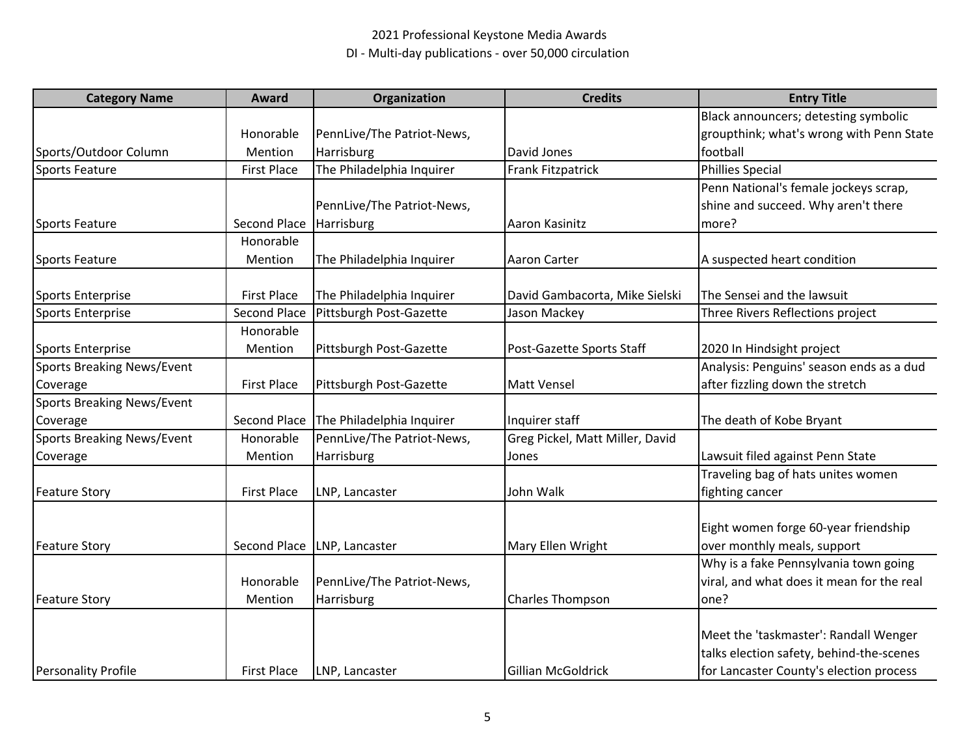| <b>Category Name</b>              | <b>Award</b>       | Organization               | <b>Credits</b>                  | <b>Entry Title</b>                        |
|-----------------------------------|--------------------|----------------------------|---------------------------------|-------------------------------------------|
|                                   |                    |                            |                                 | Black announcers; detesting symbolic      |
|                                   | Honorable          | PennLive/The Patriot-News, |                                 | groupthink; what's wrong with Penn State  |
| Sports/Outdoor Column             | Mention            | Harrisburg                 | David Jones                     | football                                  |
| <b>Sports Feature</b>             | <b>First Place</b> | The Philadelphia Inquirer  | <b>Frank Fitzpatrick</b>        | <b>Phillies Special</b>                   |
|                                   |                    |                            |                                 | Penn National's female jockeys scrap,     |
|                                   |                    | PennLive/The Patriot-News, |                                 | shine and succeed. Why aren't there       |
| Sports Feature                    | Second Place       | Harrisburg                 | Aaron Kasinitz                  | more?                                     |
|                                   | Honorable          |                            |                                 |                                           |
| Sports Feature                    | Mention            | The Philadelphia Inquirer  | <b>Aaron Carter</b>             | A suspected heart condition               |
| <b>Sports Enterprise</b>          | <b>First Place</b> | The Philadelphia Inquirer  | David Gambacorta, Mike Sielski  | The Sensei and the lawsuit                |
| <b>Sports Enterprise</b>          | Second Place       | Pittsburgh Post-Gazette    | Jason Mackey                    | Three Rivers Reflections project          |
|                                   | Honorable          |                            |                                 |                                           |
| <b>Sports Enterprise</b>          | Mention            | Pittsburgh Post-Gazette    | Post-Gazette Sports Staff       | 2020 In Hindsight project                 |
| <b>Sports Breaking News/Event</b> |                    |                            |                                 | Analysis: Penguins' season ends as a dud  |
| Coverage                          | <b>First Place</b> | Pittsburgh Post-Gazette    | <b>Matt Vensel</b>              | after fizzling down the stretch           |
| Sports Breaking News/Event        |                    |                            |                                 |                                           |
| Coverage                          | Second Place       | The Philadelphia Inquirer  | Inquirer staff                  | The death of Kobe Bryant                  |
| Sports Breaking News/Event        | Honorable          | PennLive/The Patriot-News, | Greg Pickel, Matt Miller, David |                                           |
| Coverage                          | Mention            | Harrisburg                 | Jones                           | Lawsuit filed against Penn State          |
|                                   |                    |                            |                                 | Traveling bag of hats unites women        |
| <b>Feature Story</b>              | <b>First Place</b> | LNP, Lancaster             | John Walk                       | fighting cancer                           |
|                                   |                    |                            |                                 | Eight women forge 60-year friendship      |
| <b>Feature Story</b>              | Second Place       | LNP, Lancaster             | Mary Ellen Wright               | over monthly meals, support               |
|                                   |                    |                            |                                 | Why is a fake Pennsylvania town going     |
|                                   | Honorable          | PennLive/The Patriot-News, |                                 | viral, and what does it mean for the real |
| <b>Feature Story</b>              | Mention            | Harrisburg                 | <b>Charles Thompson</b>         | lone?                                     |
|                                   |                    |                            |                                 |                                           |
|                                   |                    |                            |                                 | Meet the 'taskmaster': Randall Wenger     |
|                                   |                    |                            |                                 | talks election safety, behind-the-scenes  |
| <b>Personality Profile</b>        | <b>First Place</b> | LNP, Lancaster             | Gillian McGoldrick              | for Lancaster County's election process   |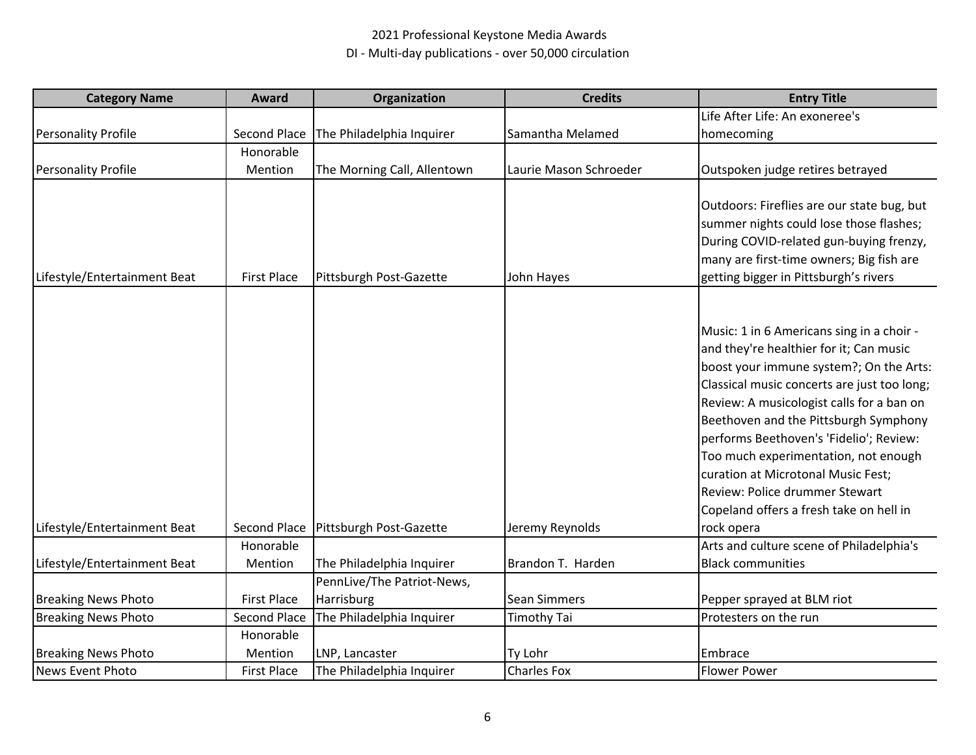| <b>Category Name</b>         | Award                | <b>Organization</b>         | <b>Credits</b>         | <b>Entry Title</b>                                                                                                                                                                                                                                                                                                                                                                                                                                                                       |
|------------------------------|----------------------|-----------------------------|------------------------|------------------------------------------------------------------------------------------------------------------------------------------------------------------------------------------------------------------------------------------------------------------------------------------------------------------------------------------------------------------------------------------------------------------------------------------------------------------------------------------|
|                              |                      |                             |                        | Life After Life: An exoneree's                                                                                                                                                                                                                                                                                                                                                                                                                                                           |
| <b>Personality Profile</b>   | Second Place         | The Philadelphia Inquirer   | Samantha Melamed       | homecoming                                                                                                                                                                                                                                                                                                                                                                                                                                                                               |
|                              | Honorable            |                             |                        |                                                                                                                                                                                                                                                                                                                                                                                                                                                                                          |
| <b>Personality Profile</b>   | Mention              | The Morning Call, Allentown | Laurie Mason Schroeder | Outspoken judge retires betrayed                                                                                                                                                                                                                                                                                                                                                                                                                                                         |
| Lifestyle/Entertainment Beat | <b>First Place</b>   | Pittsburgh Post-Gazette     | John Hayes             | Outdoors: Fireflies are our state bug, but<br>summer nights could lose those flashes;<br>During COVID-related gun-buying frenzy,<br>many are first-time owners; Big fish are<br>getting bigger in Pittsburgh's rivers                                                                                                                                                                                                                                                                    |
| Lifestyle/Entertainment Beat | Second Place         | Pittsburgh Post-Gazette     | Jeremy Reynolds        | Music: 1 in 6 Americans sing in a choir -<br>and they're healthier for it; Can music<br>boost your immune system?; On the Arts:<br>Classical music concerts are just too long;<br>Review: A musicologist calls for a ban on<br>Beethoven and the Pittsburgh Symphony<br>performs Beethoven's 'Fidelio'; Review:<br>Too much experimentation, not enough<br>curation at Microtonal Music Fest;<br>Review: Police drummer Stewart<br>Copeland offers a fresh take on hell in<br>rock opera |
|                              | Honorable            |                             |                        | Arts and culture scene of Philadelphia's                                                                                                                                                                                                                                                                                                                                                                                                                                                 |
| Lifestyle/Entertainment Beat | Mention              | The Philadelphia Inquirer   | Brandon T. Harden      | <b>Black communities</b>                                                                                                                                                                                                                                                                                                                                                                                                                                                                 |
|                              |                      | PennLive/The Patriot-News,  |                        |                                                                                                                                                                                                                                                                                                                                                                                                                                                                                          |
| <b>Breaking News Photo</b>   | <b>First Place</b>   | Harrisburg                  | <b>Sean Simmers</b>    | Pepper sprayed at BLM riot                                                                                                                                                                                                                                                                                                                                                                                                                                                               |
| <b>Breaking News Photo</b>   | Second Place         | The Philadelphia Inquirer   | Timothy Tai            | Protesters on the run                                                                                                                                                                                                                                                                                                                                                                                                                                                                    |
| <b>Breaking News Photo</b>   | Honorable<br>Mention | LNP, Lancaster              | Ty Lohr                | Embrace                                                                                                                                                                                                                                                                                                                                                                                                                                                                                  |
| News Event Photo             | <b>First Place</b>   | The Philadelphia Inquirer   | Charles Fox            | <b>Flower Power</b>                                                                                                                                                                                                                                                                                                                                                                                                                                                                      |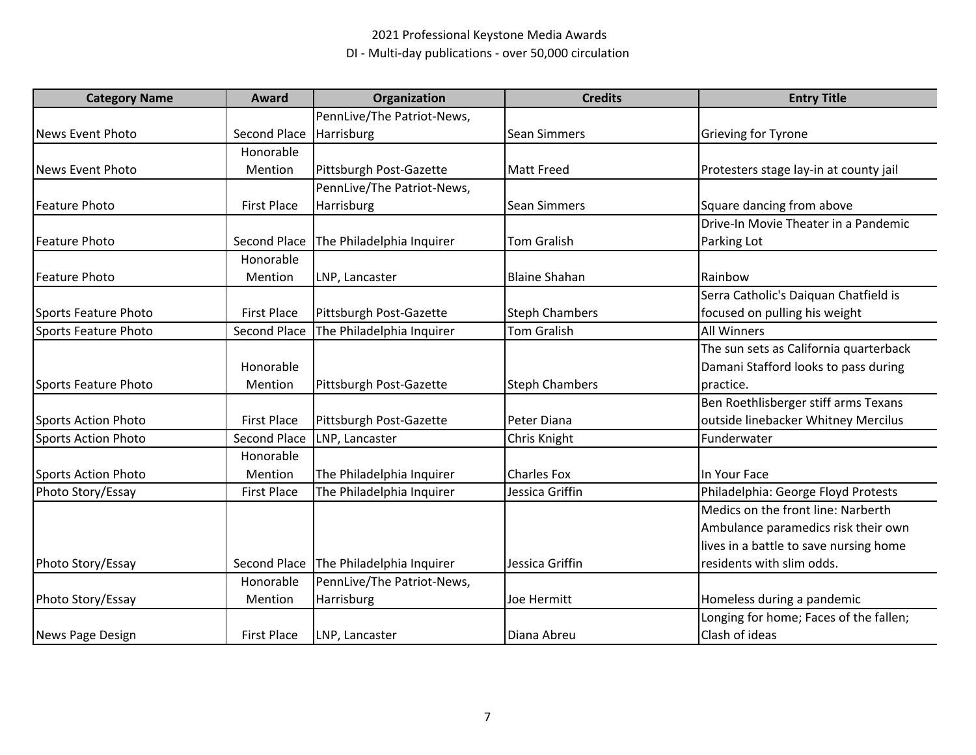| <b>Category Name</b>    | <b>Award</b>       | Organization               | <b>Credits</b>        | <b>Entry Title</b>                     |
|-------------------------|--------------------|----------------------------|-----------------------|----------------------------------------|
|                         |                    | PennLive/The Patriot-News, |                       |                                        |
| News Event Photo        | Second Place       | Harrisburg                 | <b>Sean Simmers</b>   | Grieving for Tyrone                    |
|                         | Honorable          |                            |                       |                                        |
| <b>News Event Photo</b> | Mention            | Pittsburgh Post-Gazette    | <b>Matt Freed</b>     | Protesters stage lay-in at county jail |
|                         |                    | PennLive/The Patriot-News, |                       |                                        |
| <b>Feature Photo</b>    | <b>First Place</b> | Harrisburg                 | <b>Sean Simmers</b>   | Square dancing from above              |
|                         |                    |                            |                       | Drive-In Movie Theater in a Pandemic   |
| <b>Feature Photo</b>    | Second Place       | The Philadelphia Inquirer  | <b>Tom Gralish</b>    | Parking Lot                            |
|                         | Honorable          |                            |                       |                                        |
| <b>Feature Photo</b>    | Mention            | LNP, Lancaster             | <b>Blaine Shahan</b>  | Rainbow                                |
|                         |                    |                            |                       | Serra Catholic's Daiquan Chatfield is  |
| Sports Feature Photo    | <b>First Place</b> | Pittsburgh Post-Gazette    | <b>Steph Chambers</b> | focused on pulling his weight          |
| Sports Feature Photo    | Second Place       | The Philadelphia Inquirer  | <b>Tom Gralish</b>    | <b>All Winners</b>                     |
|                         |                    |                            |                       | The sun sets as California quarterback |
|                         | Honorable          |                            |                       | Damani Stafford looks to pass during   |
| Sports Feature Photo    | Mention            | Pittsburgh Post-Gazette    | <b>Steph Chambers</b> | practice.                              |
|                         |                    |                            |                       | Ben Roethlisberger stiff arms Texans   |
| Sports Action Photo     | <b>First Place</b> | Pittsburgh Post-Gazette    | Peter Diana           | outside linebacker Whitney Mercilus    |
| Sports Action Photo     | Second Place       | LNP, Lancaster             | Chris Knight          | Funderwater                            |
|                         | Honorable          |                            |                       |                                        |
| Sports Action Photo     | Mention            | The Philadelphia Inquirer  | <b>Charles Fox</b>    | In Your Face                           |
| Photo Story/Essay       | <b>First Place</b> | The Philadelphia Inquirer  | Jessica Griffin       | Philadelphia: George Floyd Protests    |
|                         |                    |                            |                       | Medics on the front line: Narberth     |
|                         |                    |                            |                       | Ambulance paramedics risk their own    |
|                         |                    |                            |                       | lives in a battle to save nursing home |
| Photo Story/Essay       | Second Place       | The Philadelphia Inquirer  | Jessica Griffin       | residents with slim odds.              |
|                         | Honorable          | PennLive/The Patriot-News, |                       |                                        |
| Photo Story/Essay       | Mention            | Harrisburg                 | Joe Hermitt           | Homeless during a pandemic             |
|                         |                    |                            |                       | Longing for home; Faces of the fallen; |
| News Page Design        | <b>First Place</b> | LNP, Lancaster             | Diana Abreu           | Clash of ideas                         |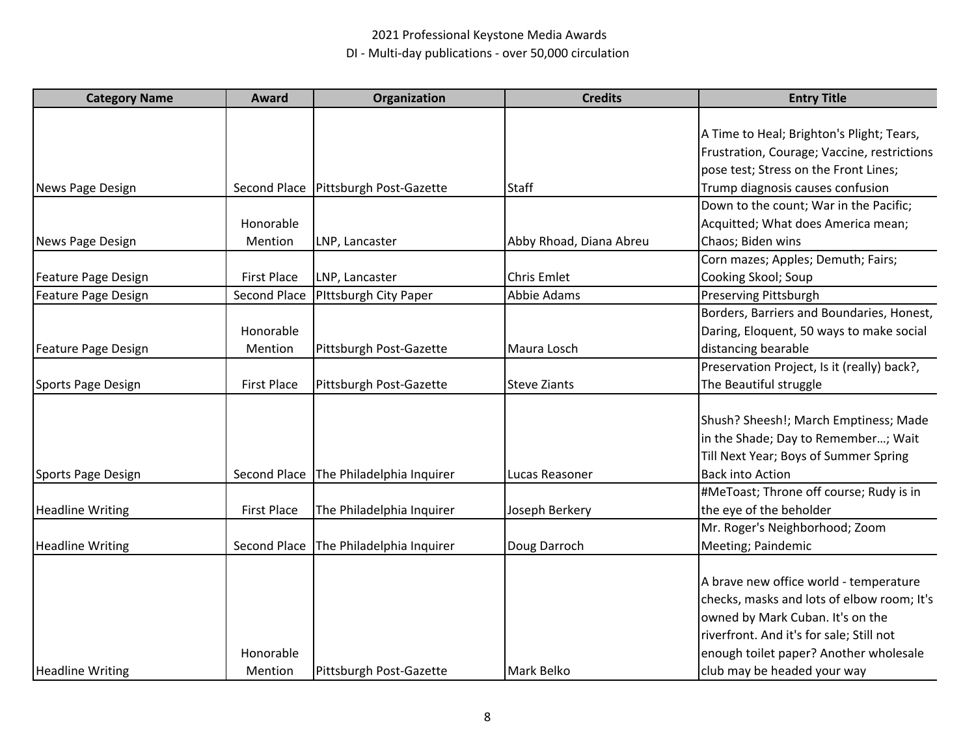| <b>Category Name</b>       | Award              | Organization              | <b>Credits</b>          | <b>Entry Title</b>                          |
|----------------------------|--------------------|---------------------------|-------------------------|---------------------------------------------|
|                            |                    |                           |                         |                                             |
|                            |                    |                           |                         | A Time to Heal; Brighton's Plight; Tears,   |
|                            |                    |                           |                         | Frustration, Courage; Vaccine, restrictions |
|                            |                    |                           |                         | pose test; Stress on the Front Lines;       |
| News Page Design           | Second Place       | Pittsburgh Post-Gazette   | <b>Staff</b>            | Trump diagnosis causes confusion            |
|                            |                    |                           |                         | Down to the count; War in the Pacific;      |
|                            | Honorable          |                           |                         | Acquitted; What does America mean;          |
| News Page Design           | Mention            | LNP, Lancaster            | Abby Rhoad, Diana Abreu | Chaos; Biden wins                           |
|                            |                    |                           |                         | Corn mazes; Apples; Demuth; Fairs;          |
| <b>Feature Page Design</b> | <b>First Place</b> | LNP, Lancaster            | <b>Chris Emlet</b>      | Cooking Skool; Soup                         |
| Feature Page Design        | Second Place       | Pittsburgh City Paper     | Abbie Adams             | Preserving Pittsburgh                       |
|                            |                    |                           |                         | Borders, Barriers and Boundaries, Honest,   |
|                            | Honorable          |                           |                         | Daring, Eloquent, 50 ways to make social    |
| Feature Page Design        | Mention            | Pittsburgh Post-Gazette   | Maura Losch             | distancing bearable                         |
|                            |                    |                           |                         | Preservation Project, Is it (really) back?, |
| Sports Page Design         | <b>First Place</b> | Pittsburgh Post-Gazette   | <b>Steve Ziants</b>     | The Beautiful struggle                      |
|                            |                    |                           |                         | Shush? Sheesh!; March Emptiness; Made       |
|                            |                    |                           |                         | in the Shade; Day to Remember; Wait         |
|                            |                    |                           |                         | Till Next Year; Boys of Summer Spring       |
|                            |                    |                           | Lucas Reasoner          | <b>Back into Action</b>                     |
| Sports Page Design         | Second Place       | The Philadelphia Inquirer |                         |                                             |
|                            |                    |                           |                         | #MeToast; Throne off course; Rudy is in     |
| <b>Headline Writing</b>    | <b>First Place</b> | The Philadelphia Inquirer | Joseph Berkery          | the eye of the beholder                     |
|                            |                    |                           |                         | Mr. Roger's Neighborhood; Zoom              |
| <b>Headline Writing</b>    | Second Place       | The Philadelphia Inquirer | Doug Darroch            | Meeting; Paindemic                          |
|                            |                    |                           |                         | A brave new office world - temperature      |
|                            |                    |                           |                         | checks, masks and lots of elbow room; It's  |
|                            |                    |                           |                         | owned by Mark Cuban. It's on the            |
|                            |                    |                           |                         | riverfront. And it's for sale; Still not    |
|                            | Honorable          |                           |                         | enough toilet paper? Another wholesale      |
|                            |                    |                           |                         |                                             |
| <b>Headline Writing</b>    | Mention            | Pittsburgh Post-Gazette   | Mark Belko              | club may be headed your way                 |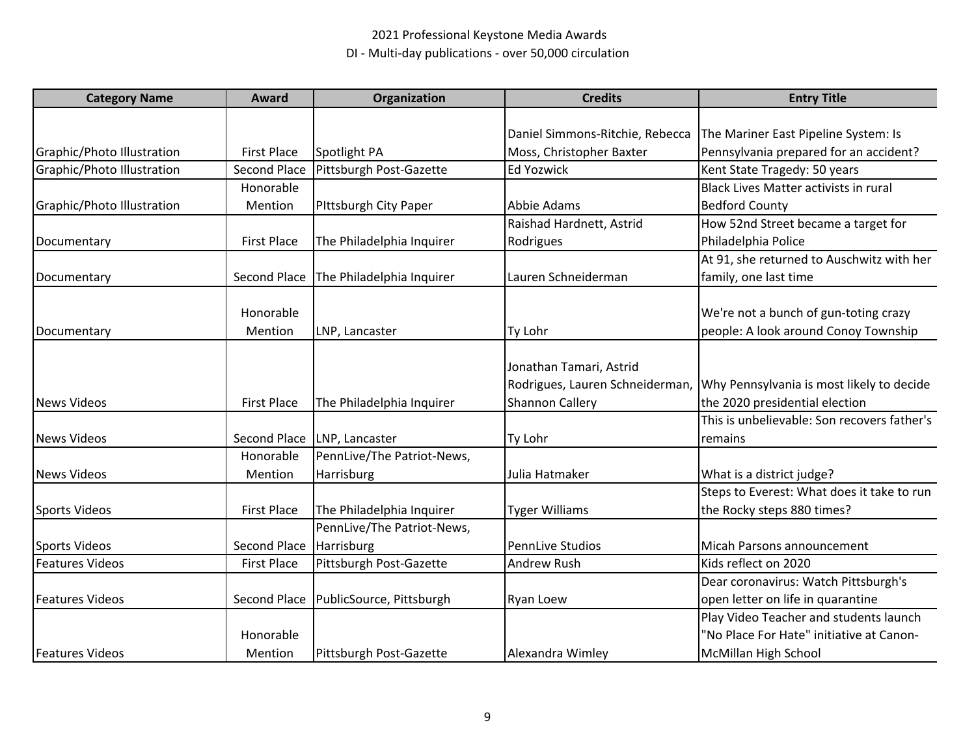| <b>Category Name</b>       | Award               | Organization               | <b>Credits</b>                  | <b>Entry Title</b>                           |
|----------------------------|---------------------|----------------------------|---------------------------------|----------------------------------------------|
|                            |                     |                            |                                 |                                              |
|                            |                     |                            | Daniel Simmons-Ritchie, Rebecca | The Mariner East Pipeline System: Is         |
| Graphic/Photo Illustration | <b>First Place</b>  | Spotlight PA               | Moss, Christopher Baxter        | Pennsylvania prepared for an accident?       |
| Graphic/Photo Illustration | <b>Second Place</b> | Pittsburgh Post-Gazette    | <b>Ed Yozwick</b>               | Kent State Tragedy: 50 years                 |
|                            | Honorable           |                            |                                 | <b>Black Lives Matter activists in rural</b> |
| Graphic/Photo Illustration | Mention             | Pittsburgh City Paper      | Abbie Adams                     | <b>Bedford County</b>                        |
|                            |                     |                            | Raishad Hardnett, Astrid        | How 52nd Street became a target for          |
| Documentary                | <b>First Place</b>  | The Philadelphia Inquirer  | Rodrigues                       | Philadelphia Police                          |
|                            |                     |                            |                                 | At 91, she returned to Auschwitz with her    |
| Documentary                | Second Place        | The Philadelphia Inquirer  | Lauren Schneiderman             | family, one last time                        |
|                            | Honorable           |                            |                                 | We're not a bunch of gun-toting crazy        |
|                            | Mention             | LNP, Lancaster             | Ty Lohr                         | people: A look around Conoy Township         |
| Documentary                |                     |                            |                                 |                                              |
|                            |                     |                            | Jonathan Tamari, Astrid         |                                              |
|                            |                     |                            | Rodrigues, Lauren Schneiderman, | Why Pennsylvania is most likely to decide    |
| <b>News Videos</b>         | <b>First Place</b>  | The Philadelphia Inquirer  | <b>Shannon Callery</b>          | the 2020 presidential election               |
|                            |                     |                            |                                 | This is unbelievable: Son recovers father's  |
| <b>News Videos</b>         | Second Place        | LNP, Lancaster             | Ty Lohr                         | remains                                      |
|                            | Honorable           | PennLive/The Patriot-News, |                                 |                                              |
| <b>News Videos</b>         | Mention             | Harrisburg                 | Julia Hatmaker                  | What is a district judge?                    |
|                            |                     |                            |                                 | Steps to Everest: What does it take to run   |
| <b>Sports Videos</b>       | <b>First Place</b>  | The Philadelphia Inquirer  | <b>Tyger Williams</b>           | the Rocky steps 880 times?                   |
|                            |                     | PennLive/The Patriot-News, |                                 |                                              |
| <b>Sports Videos</b>       | Second Place        | Harrisburg                 | <b>PennLive Studios</b>         | Micah Parsons announcement                   |
| <b>Features Videos</b>     | <b>First Place</b>  | Pittsburgh Post-Gazette    | <b>Andrew Rush</b>              | Kids reflect on 2020                         |
|                            |                     |                            |                                 | Dear coronavirus: Watch Pittsburgh's         |
| <b>Features Videos</b>     | Second Place        | PublicSource, Pittsburgh   | <b>Ryan Loew</b>                | open letter on life in quarantine            |
|                            |                     |                            |                                 | Play Video Teacher and students launch       |
|                            | Honorable           |                            |                                 | "No Place For Hate" initiative at Canon-     |
| <b>Features Videos</b>     | Mention             | Pittsburgh Post-Gazette    | Alexandra Wimley                | McMillan High School                         |